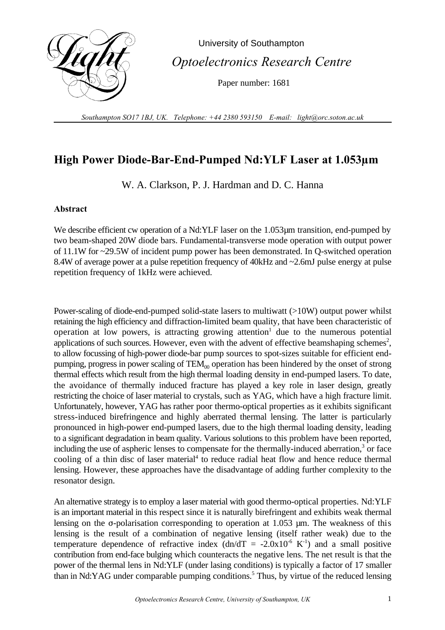

 University of Southampton  *Optoelectronics Research Centre*

Paper number: 1681

*Southampton SO17 1BJ, UK. Telephone: +44 2380 593150 E-mail: light@orc.soton.ac.uk*

## **High Power Diode-Bar-End-Pumped Nd:YLF Laser at 1.053µm**

W. A. Clarkson, P. J. Hardman and D. C. Hanna

## **Abstract**

We describe efficient cw operation of a Nd:YLF laser on the 1.053 $\mu$ m transition, end-pumped by two beam-shaped 20W diode bars. Fundamental-transverse mode operation with output power of 11.1W for ~29.5W of incident pump power has been demonstrated. In Q-switched operation 8.4W of average power at a pulse repetition frequency of 40kHz and ~2.6mJ pulse energy at pulse repetition frequency of 1kHz were achieved.

Power-scaling of diode-end-pumped solid-state lasers to multiwatt (>10W) output power whilst retaining the high efficiency and diffraction-limited beam quality, that have been characteristic of operation at low powers, is attracting growing attention  $\alpha$  due to the numerous potential applications of such sources. However, even with the advent of effective beamshaping schemes<sup>2</sup>, to allow focussing of high-power diode-bar pump sources to spot-sizes suitable for efficient endpumping, progress in power scaling of  $TEM_{00}$  operation has been hindered by the onset of strong thermal effects which result from the high thermal loading density in end-pumped lasers. To date, the avoidance of thermally induced fracture has played a key role in laser design, greatly restricting the choice of laser material to crystals, such as YAG, which have a high fracture limit. Unfortunately, however, YAG has rather poor thermo-optical properties as it exhibits significant stress-induced birefringence and highly aberrated thermal lensing. The latter is particularly pronounced in high-power end-pumped lasers, due to the high thermal loading density, leading to a significant degradation in beam quality. Various solutions to this problem have been reported, including the use of aspheric lenses to compensate for the thermally-induced aberration, $3$  or face cooling of a thin disc of laser material<sup>4</sup> to reduce radial heat flow and hence reduce thermal lensing. However, these approaches have the disadvantage of adding further complexity to the resonator design.

An alternative strategy is to employ a laser material with good thermo-optical properties. Nd:YLF is an important material in this respect since it is naturally birefringent and exhibits weak thermal lensing on the  $\sigma$ -polarisation corresponding to operation at 1.053  $\mu$ m. The weakness of this lensing is the result of a combination of negative lensing (itself rather weak) due to the temperature dependence of refractive index  $(dn/dT = -2.0x10^{-6} K^{-1})$  and a small positive contribution from end-face bulging which counteracts the negative lens. The net result is that the power of the thermal lens in Nd:YLF (under lasing conditions) is typically a factor of 17 smaller than in Nd:YAG under comparable pumping conditions.<sup>5</sup> Thus, by virtue of the reduced lensing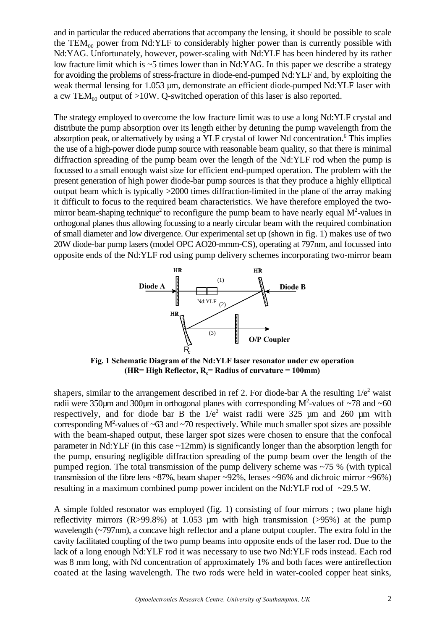and in particular the reduced aberrations that accompany the lensing, it should be possible to scale the  $TEM_{00}$  power from Nd:YLF to considerably higher power than is currently possible with Nd:YAG. Unfortunately, however, power-scaling with Nd:YLF has been hindered by its rather low fracture limit which is ~5 times lower than in Nd:YAG. In this paper we describe a strategy for avoiding the problems of stress-fracture in diode-end-pumped Nd:YLF and, by exploiting the weak thermal lensing for 1.053 µm, demonstrate an efficient diode-pumped Nd:YLF laser with a cw TEM<sub>00</sub> output of >10W. Q-switched operation of this laser is also reported.

The strategy employed to overcome the low fracture limit was to use a long Nd:YLF crystal and distribute the pump absorption over its length either by detuning the pump wavelength from the absorption peak, or alternatively by using a YLF crystal of lower Nd concentration.<sup>6</sup> This implies the use of a high-power diode pump source with reasonable beam quality, so that there is minimal diffraction spreading of the pump beam over the length of the Nd:YLF rod when the pump is focussed to a small enough waist size for efficient end-pumped operation. The problem with the present generation of high power diode-bar pump sources is that they produce a highly elliptical output beam which is typically >2000 times diffraction-limited in the plane of the array making it difficult to focus to the required beam characteristics. We have therefore employed the twomirror beam-shaping technique<sup>2</sup> to reconfigure the pump beam to have nearly equal  $M^2$ -values in orthogonal planes thus allowing focussing to a nearly circular beam with the required combination of small diameter and low divergence. Our experimental set up (shown in fig. 1) makes use of two 20W diode-bar pump lasers (model OPC AO20-mmm-CS), operating at 797nm, and focussed into opposite ends of the Nd:YLF rod using pump delivery schemes incorporating two-mirror beam



**Fig. 1 Schematic Diagram of the Nd:YLF laser resonator under cw operation (HR= High Reflector,**  $R_c$ **= Radius of curvature = 100mm)** 

shapers, similar to the arrangement described in ref 2. For diode-bar A the resulting  $1/e^2$  waist radii were 350 $\mu$ m and 300 $\mu$ m in orthogonal planes with corresponding M<sup>2</sup>-values of ~78 and ~60 respectively, and for diode bar B the  $1/e^2$  waist radii were 325  $\mu$ m and 260  $\mu$ m with corresponding  $M^2$ -values of  $\sim 63$  and  $\sim 70$  respectively. While much smaller spot sizes are possible with the beam-shaped output, these larger spot sizes were chosen to ensure that the confocal parameter in Nd:YLF (in this case ~12mm) is significantly longer than the absorption length for the pump, ensuring negligible diffraction spreading of the pump beam over the length of the pumped region. The total transmission of the pump delivery scheme was ~75 % (with typical transmission of the fibre lens ~87%, beam shaper ~92%, lenses ~96% and dichroic mirror ~96%) resulting in a maximum combined pump power incident on the Nd:YLF rod of ~29.5 W.

A simple folded resonator was employed (fig. 1) consisting of four mirrors ; two plane high reflectivity mirrors  $(R > 99.8\%)$  at 1.053 µm with high transmission ( $> 95\%$ ) at the pump wavelength (~797nm), a concave high reflector and a plane output coupler. The extra fold in the cavity facilitated coupling of the two pump beams into opposite ends of the laser rod. Due to the lack of a long enough Nd:YLF rod it was necessary to use two Nd:YLF rods instead. Each rod was 8 mm long, with Nd concentration of approximately 1% and both faces were antireflection coated at the lasing wavelength. The two rods were held in water-cooled copper heat sinks,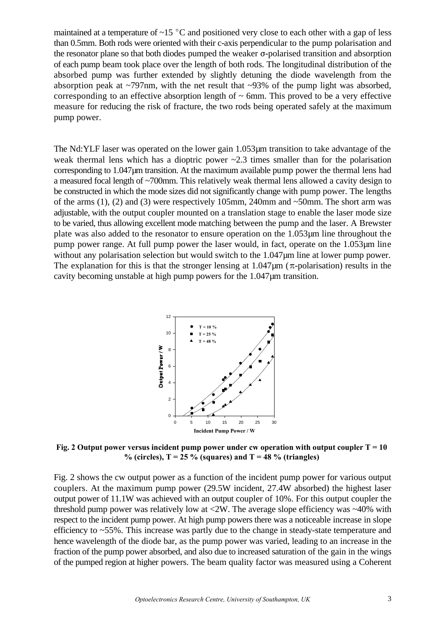maintained at a temperature of  $\sim$ 15 °C and positioned very close to each other with a gap of less than 0.5mm. Both rods were oriented with their c-axis perpendicular to the pump polarisation and the resonator plane so that both diodes pumped the weaker  $\sigma$ -polarised transition and absorption of each pump beam took place over the length of both rods. The longitudinal distribution of the absorbed pump was further extended by slightly detuning the diode wavelength from the absorption peak at  $\sim$ 797nm, with the net result that  $\sim$ 93% of the pump light was absorbed, corresponding to an effective absorption length of  $\sim$  6mm. This proved to be a very effective measure for reducing the risk of fracture, the two rods being operated safely at the maximum pump power.

The Nd:YLF laser was operated on the lower gain 1.053µm transition to take advantage of the weak thermal lens which has a dioptric power  $\sim 2.3$  times smaller than for the polarisation corresponding to 1.047µm transition. At the maximum available pump power the thermal lens had a measured focal length of ~700mm. This relatively weak thermal lens allowed a cavity design to be constructed in which the mode sizes did not significantly change with pump power. The lengths of the arms  $(1)$ ,  $(2)$  and  $(3)$  were respectively 105mm, 240mm and ~50mm. The short arm was adjustable, with the output coupler mounted on a translation stage to enable the laser mode size to be varied, thus allowing excellent mode matching between the pump and the laser. A Brewster plate was also added to the resonator to ensure operation on the 1.053µm line throughout the pump power range. At full pump power the laser would, in fact, operate on the 1.053µm line without any polarisation selection but would switch to the 1.047 $\mu$ m line at lower pump power. The explanation for this is that the stronger lensing at  $1.047 \mu m$  ( $\pi$ -polarisation) results in the cavity becoming unstable at high pump powers for the 1.047µm transition.



**Fig. 2 Output power versus incident pump power under cw operation with output coupler**  $T = 10$ % (circles),  $T = 25$  % (squares) and  $T = 48$  % (triangles)

Fig. 2 shows the cw output power as a function of the incident pump power for various output couplers. At the maximum pump power (29.5W incident, 27.4W absorbed) the highest laser output power of 11.1W was achieved with an output coupler of 10%. For this output coupler the threshold pump power was relatively low at  $\langle 2W$ . The average slope efficiency was  $\sim$ 40% with respect to the incident pump power. At high pump powers there was a noticeable increase in slope efficiency to ~55%. This increase was partly due to the change in steady-state temperature and hence wavelength of the diode bar, as the pump power was varied, leading to an increase in the fraction of the pump power absorbed, and also due to increased saturation of the gain in the wings of the pumped region at higher powers. The beam quality factor was measured using a Coherent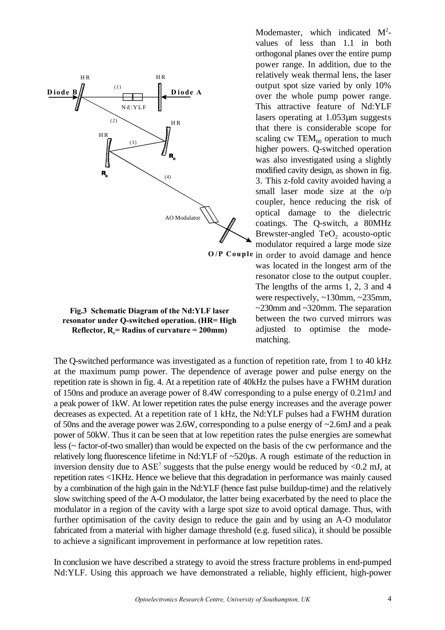

**Fig.3 Schematic Diagram of the Nd:YLF laser resonator under Q-switched operation. (HR= High Reflector,**  $R_c$  **= Radius of curvature = 200mm)** 

Modemaster, which indicated  $M^2$ values of less than 1.1 in both orthogonal planes over the entire pump power range. In addition, due to the relatively weak thermal lens, the laser output spot size varied by only 10% over the whole pump power range. This attractive feature of Nd:YLF lasers operating at 1.053µm suggests that there is considerable scope for scaling cw  $TEM_{00}$  operation to much higher powers. Q-switched operation was also investigated using a slightly modified cavity design, as shown in fig. 3. This z-fold cavity avoided having a small laser mode size at the o/p coupler, hence reducing the risk of optical damage to the dielectric coatings. The Q-switch, a 80MHz Brewster-angled  $TeO<sub>2</sub>$  acousto-optic modulator required a large mode size

O/P Couple in order to avoid damage and hence was located in the longest arm of the resonator close to the output coupler. The lengths of the arms 1, 2, 3 and 4 were respectively, ~130mm, ~235mm, ~230mm and ~320mm. The separation between the two curved mirrors was adjusted to optimise the modematching.

The Q-switched performance was investigated as a function of repetition rate, from 1 to 40 kHz at the maximum pump power. The dependence of average power and pulse energy on the repetition rate is shown in fig. 4. At a repetition rate of 40kHz the pulses have a FWHM duration of 150ns and produce an average power of 8.4W corresponding to a pulse energy of 0.21mJ and a peak power of 1kW. At lower repetition rates the pulse energy increases and the average power decreases as expected. At a repetition rate of 1 kHz, the Nd:YLF pulses had a FWHM duration of 50ns and the average power was 2.6W, corresponding to a pulse energy of ~2.6mJ and a peak power of 50kW. Thus it can be seen that at low repetition rates the pulse energies are somewhat less (~ factor-of-two smaller) than would be expected on the basis of the cw performance and the relatively long fluorescence lifetime in Nd:YLF of ~520µs. A rough estimate of the reduction in inversion density due to  $ASE^7$  suggests that the pulse energy would be reduced by <0.2 mJ, at repetition rates <1KHz. Hence we believe that this degradation in performance was mainly caused by a combination of the high gain in the Nd:YLF (hence fast pulse buildup-time) and the relatively slow switching speed of the A-O modulator, the latter being exacerbated by the need to place the modulator in a region of the cavity with a large spot size to avoid optical damage. Thus, with further optimisation of the cavity design to reduce the gain and by using an A-O modulator fabricated from a material with higher damage threshold (e.g. fused silica), it should be possible to achieve a significant improvement in performance at low repetition rates.

In conclusion we have described a strategy to avoid the stress fracture problems in end-pumped Nd:YLF. Using this approach we have demonstrated a reliable, highly efficient, high-power